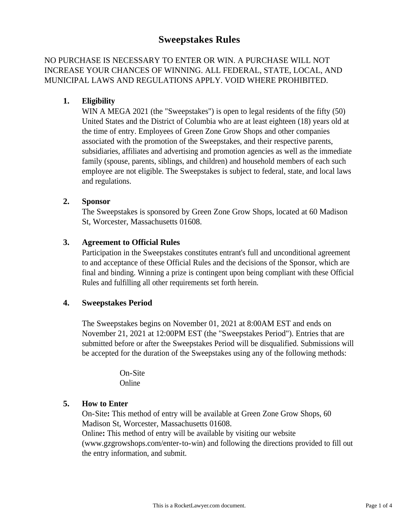# **Sweepstakes Rules**

NO PURCHASE IS NECESSARY TO ENTER OR WIN. A PURCHASE WILL NOT INCREASE YOUR CHANCES OF WINNING. ALL FEDERAL, STATE, LOCAL, AND MUNICIPAL LAWS AND REGULATIONS APPLY. VOID WHERE PROHIBITED.

## **1. Eligibility**

WIN A MEGA 2021 (the "Sweepstakes") is open to legal residents of the fifty (50) United States and the District of Columbia who are at least eighteen (18) years old at the time of entry. Employees of Green Zone Grow Shops and other companies associated with the promotion of the Sweepstakes, and their respective parents, subsidiaries, affiliates and advertising and promotion agencies as well as the immediate family (spouse, parents, siblings, and children) and household members of each such employee are not eligible. The Sweepstakes is subject to federal, state, and local laws and regulations.

## **2. Sponsor**

The Sweepstakes is sponsored by Green Zone Grow Shops, located at 60 Madison St, Worcester, Massachusetts 01608.

## **3. Agreement to Official Rules**

Participation in the Sweepstakes constitutes entrant's full and unconditional agreement to and acceptance of these Official Rules and the decisions of the Sponsor, which are final and binding. Winning a prize is contingent upon being compliant with these Official Rules and fulfilling all other requirements set forth herein.

## **4. Sweepstakes Period**

The Sweepstakes begins on November 01, 2021 at 8:00AM EST and ends on November 21, 2021 at 12:00PM EST (the "Sweepstakes Period"). Entries that are submitted before or after the Sweepstakes Period will be disqualified. Submissions will be accepted for the duration of the Sweepstakes using any of the following methods:

> On-Site Online

#### **5. How to Enter**

On-Site**:** This method of entry will be available at Green Zone Grow Shops, 60 Madison St, Worcester, Massachusetts 01608. Online**:** This method of entry will be available by visiting our website (www.gzgrowshops.com/enter-to-win) and following the directions provided to fill out the entry information, and submit.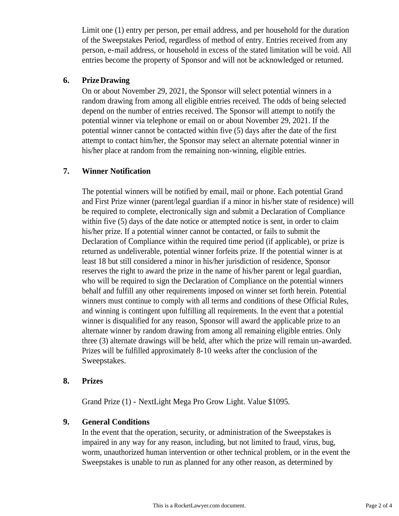Limit one (1) entry per person, per email address, and per household for the duration of the Sweepstakes Period, regardless of method of entry. Entries received from any person, e-mail address, or household in excess of the stated limitation will be void. All entries become the property of Sponsor and will not be acknowledged or returned.

#### **6. PrizeDrawing**

On or about November 29, 2021, the Sponsor will select potential winners in a random drawing from among all eligible entries received. The odds of being selected depend on the number of entries received. The Sponsor will attempt to notify the potential winner via telephone or email on or about November 29, 2021. If the potential winner cannot be contacted within five (5) days after the date of the first attempt to contact him/her, the Sponsor may select an alternate potential winner in his/her place at random from the remaining non-winning, eligible entries.

## **7. Winner Notification**

The potential winners will be notified by email, mail or phone. Each potential Grand and First Prize winner (parent/legal guardian if a minor in his/her state of residence) will be required to complete, electronically sign and submit a Declaration of Compliance within five (5) days of the date notice or attempted notice is sent, in order to claim his/her prize. If a potential winner cannot be contacted, or fails to submit the Declaration of Compliance within the required time period (if applicable), or prize is returned as undeliverable, potential winner forfeits prize. If the potential winner is at least 18 but still considered a minor in his/her jurisdiction of residence, Sponsor reserves the right to award the prize in the name of his/her parent or legal guardian, who will be required to sign the Declaration of Compliance on the potential winners behalf and fulfill any other requirements imposed on winner set forth herein. Potential winners must continue to comply with all terms and conditions of these Official Rules, and winning is contingent upon fulfilling all requirements. In the event that a potential winner is disqualified for any reason, Sponsor will award the applicable prize to an alternate winner by random drawing from among all remaining eligible entries. Only three (3) alternate drawings will be held, after which the prize will remain un-awarded. Prizes will be fulfilled approximately 8-10 weeks after the conclusion of the Sweepstakes.

## **8. Prizes**

Grand Prize (1) - NextLight Mega Pro Grow Light. Value \$1095.

## **9. General Conditions**

In the event that the operation, security, or administration of the Sweepstakes is impaired in any way for any reason, including, but not limited to fraud, virus, bug, worm, unauthorized human intervention or other technical problem, or in the event the Sweepstakes is unable to run as planned for any other reason, as determined by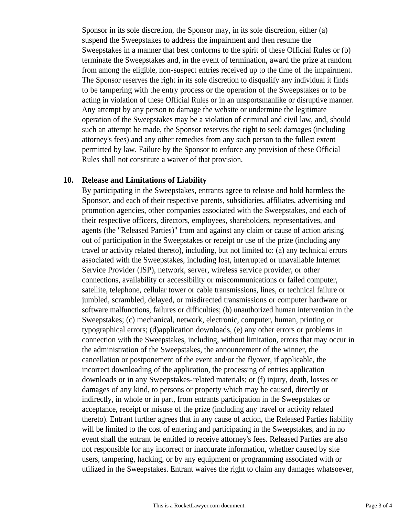Sponsor in its sole discretion, the Sponsor may, in its sole discretion, either (a) suspend the Sweepstakes to address the impairment and then resume the Sweepstakes in a manner that best conforms to the spirit of these Official Rules or (b) terminate the Sweepstakes and, in the event of termination, award the prize at random from among the eligible, non-suspect entries received up to the time of the impairment. The Sponsor reserves the right in its sole discretion to disqualify any individual it finds to be tampering with the entry process or the operation of the Sweepstakes or to be acting in violation of these Official Rules or in an unsportsmanlike or disruptive manner. Any attempt by any person to damage the website or undermine the legitimate operation of the Sweepstakes may be a violation of criminal and civil law, and, should such an attempt be made, the Sponsor reserves the right to seek damages (including attorney's fees) and any other remedies from any such person to the fullest extent permitted by law. Failure by the Sponsor to enforce any provision of these Official Rules shall not constitute a waiver of that provision.

#### **10. Release and Limitations of Liability**

By participating in the Sweepstakes, entrants agree to release and hold harmless the Sponsor, and each of their respective parents, subsidiaries, affiliates, advertising and promotion agencies, other companies associated with the Sweepstakes, and each of their respective officers, directors, employees, shareholders, representatives, and agents (the "Released Parties)" from and against any claim or cause of action arising out of participation in the Sweepstakes or receipt or use of the prize (including any travel or activity related thereto), including, but not limited to: (a) any technical errors associated with the Sweepstakes, including lost, interrupted or unavailable Internet Service Provider (ISP), network, server, wireless service provider, or other connections, availability or accessibility or miscommunications or failed computer, satellite, telephone, cellular tower or cable transmissions, lines, or technical failure or jumbled, scrambled, delayed, or misdirected transmissions or computer hardware or software malfunctions, failures or difficulties; (b) unauthorized human intervention in the Sweepstakes; (c) mechanical, network, electronic, computer, human, printing or typographical errors; (d)application downloads, (e) any other errors or problems in connection with the Sweepstakes, including, without limitation, errors that may occur in the administration of the Sweepstakes, the announcement of the winner, the cancellation or postponement of the event and/or the flyover, if applicable, the incorrect downloading of the application, the processing of entries application downloads or in any Sweepstakes-related materials; or (f) injury, death, losses or damages of any kind, to persons or property which may be caused, directly or indirectly, in whole or in part, from entrants participation in the Sweepstakes or acceptance, receipt or misuse of the prize (including any travel or activity related thereto). Entrant further agrees that in any cause of action, the Released Parties liability will be limited to the cost of entering and participating in the Sweepstakes, and in no event shall the entrant be entitled to receive attorney's fees. Released Parties are also not responsible for any incorrect or inaccurate information, whether caused by site users, tampering, hacking, or by any equipment or programming associated with or utilized in the Sweepstakes. Entrant waives the right to claim any damages whatsoever,